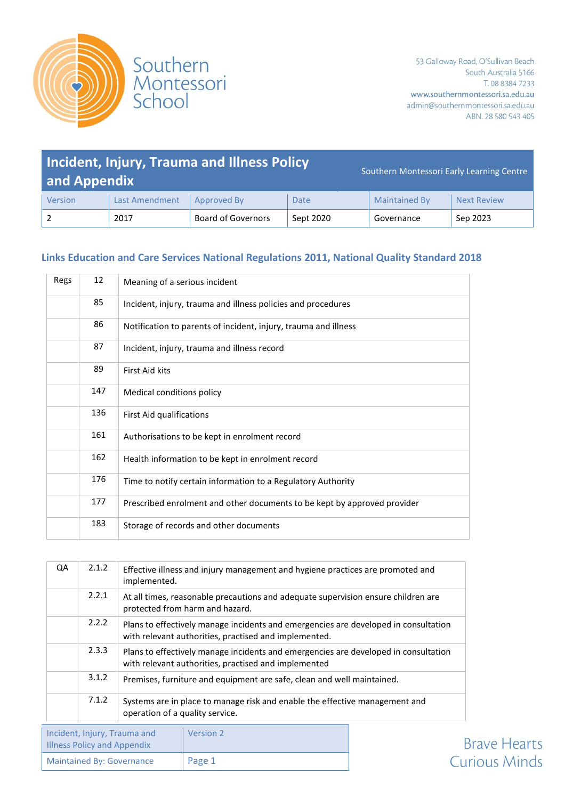



### **Incident, Injury, Trauma and Illness Policy and Appendix** Southern Montessori Early Learning Centre Version | Last Amendment | Approved By | Date | Maintained By | Next Review 2 2017 Board of Governors Sept 2020 Governance Sep 2023

#### **Links Education and Care Services National Regulations 2011, National Quality Standard 2018**

| Regs | 12  | Meaning of a serious incident                                            |
|------|-----|--------------------------------------------------------------------------|
|      | 85  | Incident, injury, trauma and illness policies and procedures             |
|      | 86  | Notification to parents of incident, injury, trauma and illness          |
|      | 87  | Incident, injury, trauma and illness record                              |
|      | 89  | <b>First Aid kits</b>                                                    |
|      | 147 | Medical conditions policy                                                |
|      | 136 | First Aid qualifications                                                 |
|      | 161 | Authorisations to be kept in enrolment record                            |
|      | 162 | Health information to be kept in enrolment record                        |
|      | 176 | Time to notify certain information to a Regulatory Authority             |
|      | 177 | Prescribed enrolment and other documents to be kept by approved provider |
|      | 183 | Storage of records and other documents                                   |

| QA | 2.1.2 | Effective illness and injury management and hygiene practices are promoted and<br>implemented.                                               |
|----|-------|----------------------------------------------------------------------------------------------------------------------------------------------|
|    | 2.2.1 | At all times, reasonable precautions and adequate supervision ensure children are<br>protected from harm and hazard.                         |
|    | 2.2.2 | Plans to effectively manage incidents and emergencies are developed in consultation<br>with relevant authorities, practised and implemented. |
|    | 2.3.3 | Plans to effectively manage incidents and emergencies are developed in consultation<br>with relevant authorities, practised and implemented  |
|    | 3.1.2 | Premises, furniture and equipment are safe, clean and well maintained.                                                                       |
|    | 7.1.2 | Systems are in place to manage risk and enable the effective management and<br>operation of a quality service.                               |
|    |       |                                                                                                                                              |

| Incident, Injury, Trauma and<br><b>Illness Policy and Appendix</b> | Version 2 |
|--------------------------------------------------------------------|-----------|
| <b>Maintained By: Governance</b>                                   | Page 1    |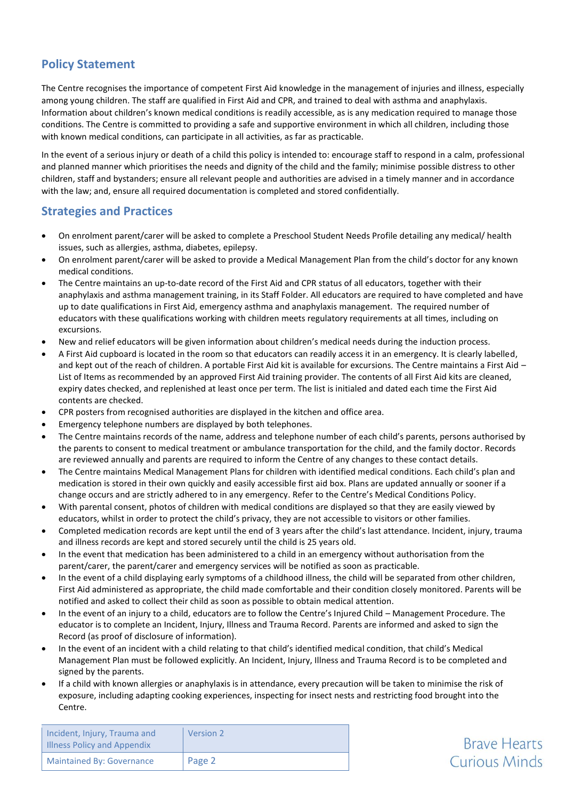## **Policy Statement**

The Centre recognises the importance of competent First Aid knowledge in the management of injuries and illness, especially among young children. The staff are qualified in First Aid and CPR, and trained to deal with asthma and anaphylaxis. Information about children's known medical conditions is readily accessible, as is any medication required to manage those conditions. The Centre is committed to providing a safe and supportive environment in which all children, including those with known medical conditions, can participate in all activities, as far as practicable.

In the event of a serious injury or death of a child this policy is intended to: encourage staff to respond in a calm, professional and planned manner which prioritises the needs and dignity of the child and the family; minimise possible distress to other children, staff and bystanders; ensure all relevant people and authorities are advised in a timely manner and in accordance with the law; and, ensure all required documentation is completed and stored confidentially.

#### **Strategies and Practices**

- On enrolment parent/carer will be asked to complete a Preschool Student Needs Profile detailing any medical/ health issues, such as allergies, asthma, diabetes, epilepsy.
- On enrolment parent/carer will be asked to provide a Medical Management Plan from the child's doctor for any known medical conditions.
- The Centre maintains an up-to-date record of the First Aid and CPR status of all educators, together with their anaphylaxis and asthma management training, in its Staff Folder. All educators are required to have completed and have up to date qualifications in First Aid, emergency asthma and anaphylaxis management. The required number of educators with these qualifications working with children meets regulatory requirements at all times, including on excursions.
- New and relief educators will be given information about children's medical needs during the induction process.
- A First Aid cupboard is located in the room so that educators can readily access it in an emergency. It is clearly labelled, and kept out of the reach of children. A portable First Aid kit is available for excursions. The Centre maintains a First Aid – List of Items as recommended by an approved First Aid training provider. The contents of all First Aid kits are cleaned, expiry dates checked, and replenished at least once per term. The list is initialed and dated each time the First Aid contents are checked.
- CPR posters from recognised authorities are displayed in the kitchen and office area.
- Emergency telephone numbers are displayed by both telephones.
- The Centre maintains records of the name, address and telephone number of each child's parents, persons authorised by the parents to consent to medical treatment or ambulance transportation for the child, and the family doctor. Records are reviewed annually and parents are required to inform the Centre of any changes to these contact details.
- The Centre maintains Medical Management Plans for children with identified medical conditions. Each child's plan and medication is stored in their own quickly and easily accessible first aid box. Plans are updated annually or sooner if a change occurs and are strictly adhered to in any emergency. Refer to the Centre's Medical Conditions Policy.
- With parental consent, photos of children with medical conditions are displayed so that they are easily viewed by educators, whilst in order to protect the child's privacy, they are not accessible to visitors or other families.
- Completed medication records are kept until the end of 3 years after the child's last attendance. Incident, injury, trauma and illness records are kept and stored securely until the child is 25 years old.
- In the event that medication has been administered to a child in an emergency without authorisation from the parent/carer, the parent/carer and emergency services will be notified as soon as practicable.
- In the event of a child displaying early symptoms of a childhood illness, the child will be separated from other children, First Aid administered as appropriate, the child made comfortable and their condition closely monitored. Parents will be notified and asked to collect their child as soon as possible to obtain medical attention.
- In the event of an injury to a child, educators are to follow the Centre's Injured Child Management Procedure. The educator is to complete an Incident, Injury, Illness and Trauma Record. Parents are informed and asked to sign the Record (as proof of disclosure of information).
- In the event of an incident with a child relating to that child's identified medical condition, that child's Medical Management Plan must be followed explicitly. An Incident, Injury, Illness and Trauma Record is to be completed and signed by the parents.
- If a child with known allergies or anaphylaxis is in attendance, every precaution will be taken to minimise the risk of exposure, including adapting cooking experiences, inspecting for insect nests and restricting food brought into the Centre.

| Incident, Injury, Trauma and<br><b>Illness Policy and Appendix</b> | <b>Version 2</b> |
|--------------------------------------------------------------------|------------------|
| <b>Maintained By: Governance</b>                                   | Page 2           |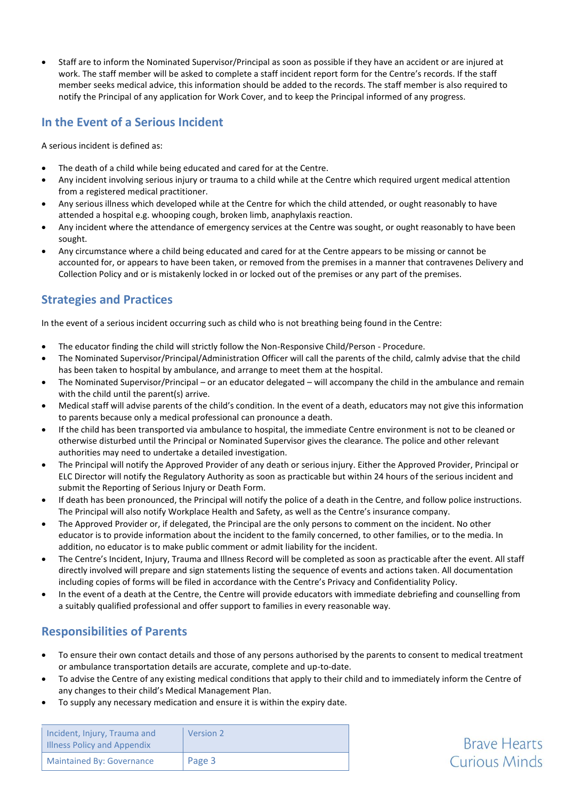Staff are to inform the Nominated Supervisor/Principal as soon as possible if they have an accident or are injured at work. The staff member will be asked to complete a staff incident report form for the Centre's records. If the staff member seeks medical advice, this information should be added to the records. The staff member is also required to notify the Principal of any application for Work Cover, and to keep the Principal informed of any progress.

## **In the Event of a Serious Incident**

A serious incident is defined as:

- The death of a child while being educated and cared for at the Centre.
- Any incident involving serious injury or trauma to a child while at the Centre which required urgent medical attention from a registered medical practitioner.
- Any serious illness which developed while at the Centre for which the child attended, or ought reasonably to have attended a hospital e.g. whooping cough, broken limb, anaphylaxis reaction.
- Any incident where the attendance of emergency services at the Centre was sought, or ought reasonably to have been sought.
- Any circumstance where a child being educated and cared for at the Centre appears to be missing or cannot be accounted for, or appears to have been taken, or removed from the premises in a manner that contravenes Delivery and Collection Policy and or is mistakenly locked in or locked out of the premises or any part of the premises.

# **Strategies and Practices**

In the event of a serious incident occurring such as child who is not breathing being found in the Centre:

- The educator finding the child will strictly follow the Non-Responsive Child/Person Procedure.
- The Nominated Supervisor/Principal/Administration Officer will call the parents of the child, calmly advise that the child has been taken to hospital by ambulance, and arrange to meet them at the hospital.
- The Nominated Supervisor/Principal or an educator delegated will accompany the child in the ambulance and remain with the child until the parent(s) arrive.
- Medical staff will advise parents of the child's condition. In the event of a death, educators may not give this information to parents because only a medical professional can pronounce a death.
- If the child has been transported via ambulance to hospital, the immediate Centre environment is not to be cleaned or otherwise disturbed until the Principal or Nominated Supervisor gives the clearance. The police and other relevant authorities may need to undertake a detailed investigation.
- The Principal will notify the Approved Provider of any death or serious injury. Either the Approved Provider, Principal or ELC Director will notify the Regulatory Authority as soon as practicable but within 24 hours of the serious incident and submit the Reporting of Serious Injury or Death Form.
- If death has been pronounced, the Principal will notify the police of a death in the Centre, and follow police instructions. The Principal will also notify Workplace Health and Safety, as well as the Centre's insurance company.
- The Approved Provider or, if delegated, the Principal are the only persons to comment on the incident. No other educator is to provide information about the incident to the family concerned, to other families, or to the media. In addition, no educator is to make public comment or admit liability for the incident.
- The Centre's Incident, Injury, Trauma and Illness Record will be completed as soon as practicable after the event. All staff directly involved will prepare and sign statements listing the sequence of events and actions taken. All documentation including copies of forms will be filed in accordance with the Centre's Privacy and Confidentiality Policy.
- In the event of a death at the Centre, the Centre will provide educators with immediate debriefing and counselling from a suitably qualified professional and offer support to families in every reasonable way.

## **Responsibilities of Parents**

- To ensure their own contact details and those of any persons authorised by the parents to consent to medical treatment or ambulance transportation details are accurate, complete and up-to-date.
- To advise the Centre of any existing medical conditions that apply to their child and to immediately inform the Centre of any changes to their child's Medical Management Plan.

**Brave Hearts** 

**Curious Minds** 

To supply any necessary medication and ensure it is within the expiry date.

| Incident, Injury, Trauma and<br><b>Illness Policy and Appendix</b> | Version 2 |
|--------------------------------------------------------------------|-----------|
| <b>Maintained By: Governance</b>                                   | Page 3    |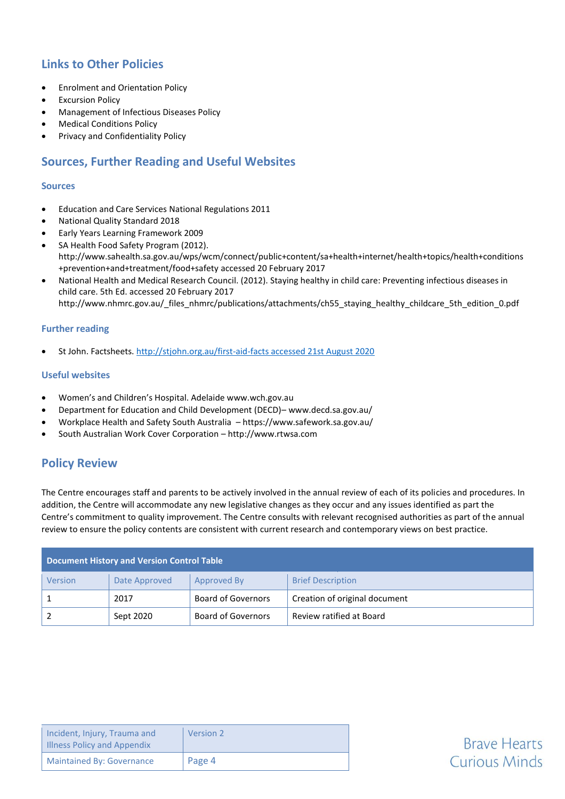# **Links to Other Policies**

- Enrolment and Orientation Policy
- **•** Excursion Policy
- Management of Infectious Diseases Policy
- Medical Conditions Policy
- Privacy and Confidentiality Policy

## **Sources, Further Reading and Useful Websites**

#### **Sources**

- Education and Care Services National Regulations 2011
- National Quality Standard 2018
- Early Years Learning Framework 2009
- SA Health Food Safety Program (2012). [http://www.sahealth.sa.gov.au/wps/wcm/connect/public+content/sa+health+internet/health+topics/health+conditions](http://www.sahealth.sa.gov.au/wps/wcm/connect/public+content/sa+health+internet/health+topics/health+conditions+prevention+and+treatment/food+safety) [+prevention+and+treatment/food+safety](http://www.sahealth.sa.gov.au/wps/wcm/connect/public+content/sa+health+internet/health+topics/health+conditions+prevention+and+treatment/food+safety) accessed 20 February 2017
- National Health and Medical Research Council. (2012). Staying healthy in child care: Preventing infectious diseases in child care. 5th Ed. accessed 20 February 2017 http://www.nhmrc.gov.au/\_files\_nhmrc/publications/attachments/ch55\_staying\_healthy\_childcare\_5th\_edition\_0.pdf

#### **Further reading**

St John. Factsheets[. http://stjohn.org.au/first-aid-facts accessed 21st August 2020](http://stjohn.org.au/first-aid-facts%20accessed%2021st%20August%202020)

#### **Useful websites**

- Women's and Children's Hospital. Adelaide www.wch.gov.au
- Department for Education and Child Development (DECD)– www.decd.sa.gov.au/
- Workplace Health and Safety South Australia https://www.safework.sa.gov.au/
- South Australian Work Cover Corporation [http://www.rtwsa.com](http://www.rtwsa.com/)

## **Policy Review**

The Centre encourages staff and parents to be actively involved in the annual review of each of its policies and procedures. In addition, the Centre will accommodate any new legislative changes as they occur and any issues identified as part the Centre's commitment to quality improvement. The Centre consults with relevant recognised authorities as part of the annual review to ensure the policy contents are consistent with current research and contemporary views on best practice.

| <b>Document History and Version Control Table</b> |               |                           |                               |  |
|---------------------------------------------------|---------------|---------------------------|-------------------------------|--|
| Version                                           | Date Approved | Approved By               | <b>Brief Description</b>      |  |
|                                                   | 2017          | <b>Board of Governors</b> | Creation of original document |  |
|                                                   | Sept 2020     | Board of Governors        | Review ratified at Board      |  |

| Incident, Injury, Trauma and<br><b>Illness Policy and Appendix</b> | Version 2 |
|--------------------------------------------------------------------|-----------|
| <b>Maintained By: Governance</b>                                   | Page 4    |